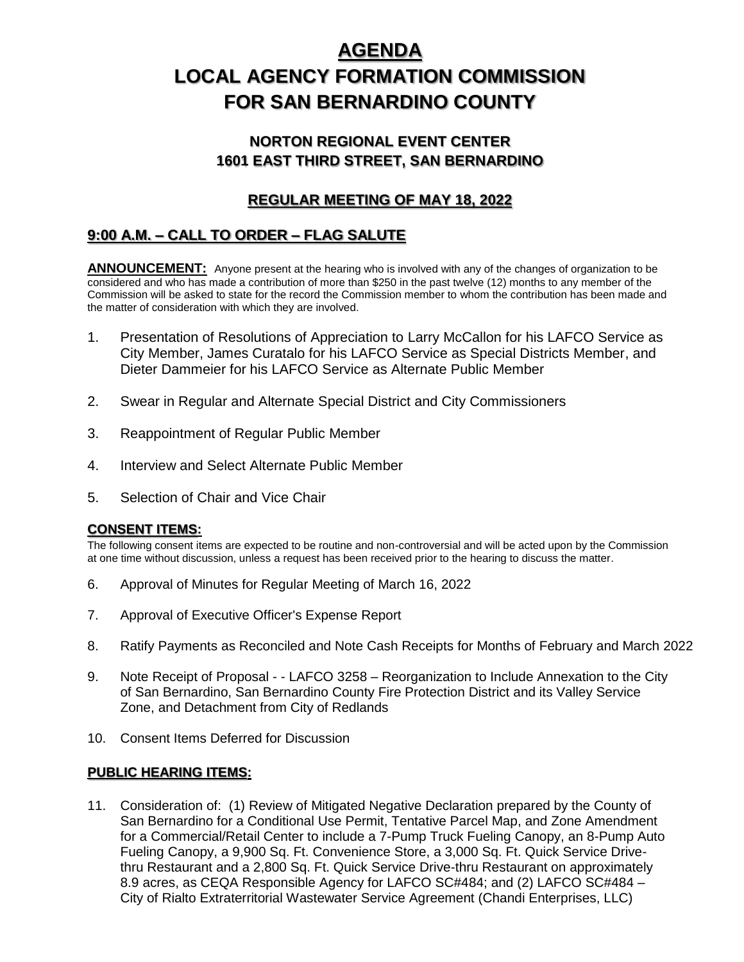# **AGENDA LOCAL AGENCY FORMATION COMMISSION FOR SAN BERNARDINO COUNTY**

## **NORTON REGIONAL EVENT CENTER 1601 EAST THIRD STREET, SAN BERNARDINO**

## **REGULAR MEETING OF MAY 18, 2022**

# **9:00 A.M. – CALL TO ORDER – FLAG SALUTE**

**ANNOUNCEMENT:** Anyone present at the hearing who is involved with any of the changes of organization to be considered and who has made a contribution of more than \$250 in the past twelve (12) months to any member of the Commission will be asked to state for the record the Commission member to whom the contribution has been made and the matter of consideration with which they are involved.

- 1. Presentation of Resolutions of Appreciation to Larry McCallon for his LAFCO Service as City Member, James Curatalo for his LAFCO Service as Special Districts Member, and Dieter Dammeier for his LAFCO Service as Alternate Public Member
- 2. Swear in Regular and Alternate Special District and City Commissioners
- 3. Reappointment of Regular Public Member
- 4. Interview and Select Alternate Public Member
- 5. Selection of Chair and Vice Chair

#### **CONSENT ITEMS:**

The following consent items are expected to be routine and non-controversial and will be acted upon by the Commission at one time without discussion, unless a request has been received prior to the hearing to discuss the matter.

- 6. Approval of Minutes for Regular Meeting of March 16, 2022
- 7. Approval of Executive Officer's Expense Report
- 8. Ratify Payments as Reconciled and Note Cash Receipts for Months of February and March 2022
- 9. Note Receipt of Proposal - LAFCO 3258 Reorganization to Include Annexation to the City of San Bernardino, San Bernardino County Fire Protection District and its Valley Service Zone, and Detachment from City of Redlands
- 10. Consent Items Deferred for Discussion

## **PUBLIC HEARING ITEMS:**

11. Consideration of: (1) Review of Mitigated Negative Declaration prepared by the County of San Bernardino for a Conditional Use Permit, Tentative Parcel Map, and Zone Amendment for a Commercial/Retail Center to include a 7-Pump Truck Fueling Canopy, an 8-Pump Auto Fueling Canopy, a 9,900 Sq. Ft. Convenience Store, a 3,000 Sq. Ft. Quick Service Drivethru Restaurant and a 2,800 Sq. Ft. Quick Service Drive-thru Restaurant on approximately 8.9 acres, as CEQA Responsible Agency for LAFCO SC#484; and (2) LAFCO SC#484 – City of Rialto Extraterritorial Wastewater Service Agreement (Chandi Enterprises, LLC)